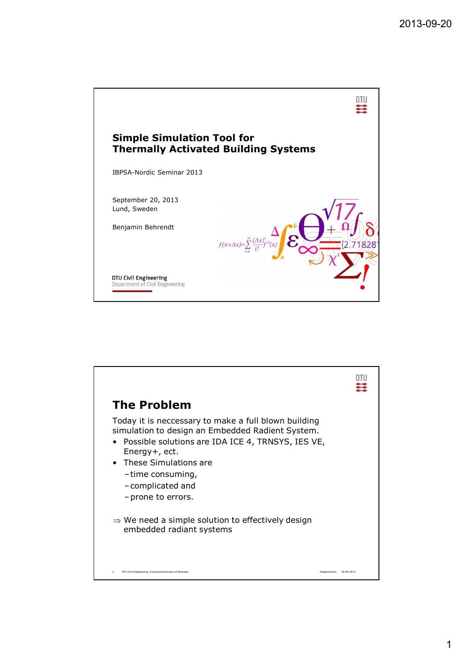

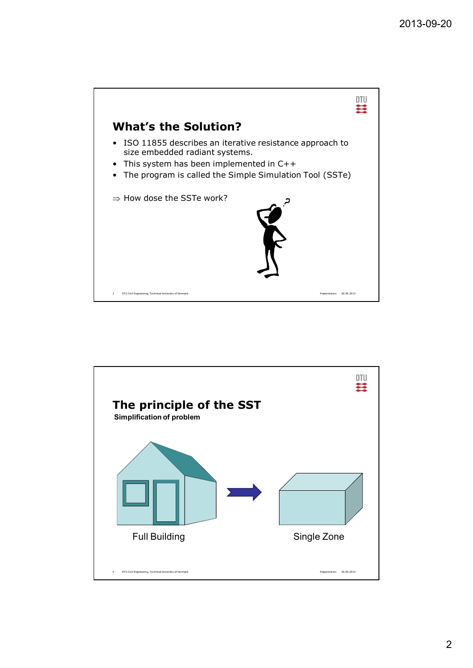

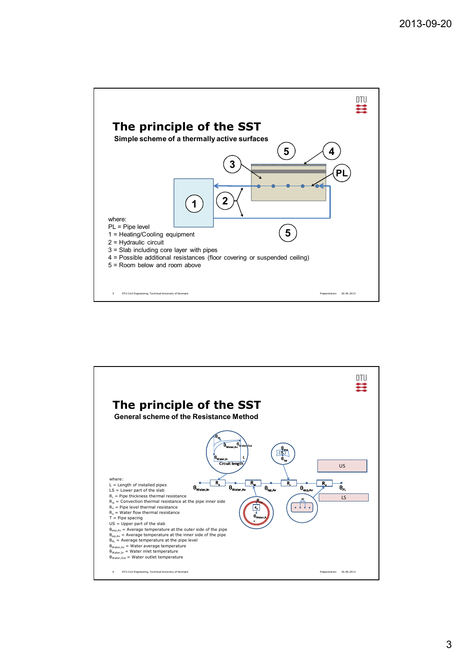



3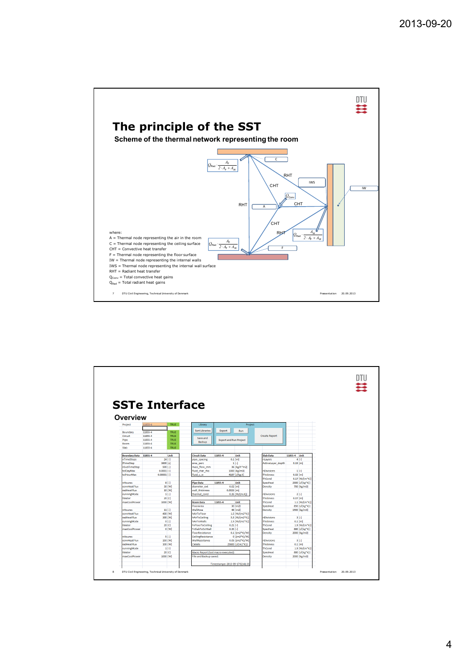

|                            | <b>SSTe Interface</b>         |                    |                                    |                                 |                                  |                                |              |                      |  |
|----------------------------|-------------------------------|--------------------|------------------------------------|---------------------------------|----------------------------------|--------------------------------|--------------|----------------------|--|
|                            |                               |                    |                                    |                                 |                                  |                                |              |                      |  |
|                            |                               |                    |                                    |                                 |                                  |                                |              |                      |  |
| <b>Overview</b>            |                               |                    |                                    |                                 |                                  |                                |              |                      |  |
| Project                    | 11855-4                       | TRUE               | Library                            |                                 | Project                          |                                |              |                      |  |
|                            |                               |                    | <b>Sort Libraries</b>              | Export                          | Run                              |                                |              |                      |  |
| Boundary                   | 11855-4                       | <b>TRUE</b>        |                                    |                                 |                                  |                                |              |                      |  |
| Circuit                    | 11855-4<br>11855-4            | TRUE<br>TRUE       | Save and                           |                                 |                                  | <b>Create Report</b>           |              |                      |  |
| Pipe<br>Room               | 11855-4                       | <b>TRUE</b>        | Backup                             | <b>Export and Run Project</b>   |                                  |                                |              |                      |  |
| Slab                       | 11855-4                       | TRUE               |                                    |                                 |                                  |                                |              |                      |  |
|                            |                               |                    |                                    |                                 |                                  |                                |              |                      |  |
| <b>Boundary Data</b>       | 11855-4                       | Unit               | <b>Circuit Data</b>                | 11855-4                         | Unit                             | <b>Slab Data</b>               | 11855-4 Unit |                      |  |
| nTimeSteps                 |                               | $24$ [-]           | pipe spacing                       |                                 | $0.1$ [m]                        | nLavers                        |              | 4 <sup>1</sup>       |  |
| <b>ITimeStep</b>           | 3600 [s]                      |                    | area_perc                          |                                 | $11 -$                           | ActiveLayer_depth              | $0.19$ [m]   |                      |  |
| nSubTimeStep               | $500$ [-]                     |                    | mass_flow_mm                       |                                 | 36 [kg/h*m2]                     |                                |              |                      |  |
| tolDayMax<br>tolHourMax    | $0.0001$ [-]<br>$0.00001$ [-] |                    | fluid char rho<br>fluid c w        |                                 | 1000 [kg/m3]<br>4187 [J/kg.K]    | nDivisions<br><b>Thickness</b> | $0.02$ [m]   | $1[-]$               |  |
|                            |                               |                    |                                    |                                 |                                  | <b>ThCond</b>                  |              | 0.17 [W/(m*K)]       |  |
| nHoures                    |                               | $8$ [-]            | <b>Pipe Data</b>                   | 11855-4                         | Unit                             | <b>SpecHeat</b>                |              | 2300 [J/(kg*K)]      |  |
| convHeatFlux               |                               | 30 [W]             | diameter ext                       |                                 | $0.02$ [m]                       | Density                        |              | 700 [kg/m3]          |  |
| radHeatFlux                |                               | 10 [W]             | wall thickness                     |                                 | $0.0023$ [m]                     |                                |              |                      |  |
| runningMode                |                               | $1$ [-]            | thermal cond                       |                                 | $0.35$ [W/(m.K)]                 | nDivisions                     |              | $2[ - ]$             |  |
| tWater                     |                               | 20 [C]             |                                    |                                 |                                  | <b>Thickness</b>               | $0.07$ [m]   |                      |  |
| maxCoolPower               | 1000 [W]                      |                    | <b>Room Data</b>                   | 11855-4                         | Unit                             | ThCond                         |              | $1.1$ [W/(m*K)]      |  |
|                            |                               |                    | FloorArea                          |                                 | 30 [m2]                          | SpecHeat                       |              | 850 [J/(kg*K)]       |  |
| nHoures                    | $11$ $[-]$                    |                    | WallArea                           |                                 | 48 [m2]                          | Density                        |              | 1900 [kg/m3]         |  |
| convHeatFlux               |                               | 400 [W]            | hAirToFloor                        |                                 | 1.5 [W/(m2*K)]                   | nDivisions                     |              |                      |  |
| radHeatFlux<br>runningMode |                               | 300 [W]<br>$0$ [-] | hAirToCeiling<br>hAirToWalls       |                                 | 5.5 [W/(m2*K)]<br>2.5 [W/(m2*K)] | <b>Thickness</b>               |              | $3$ [-]<br>$0.1$ [m] |  |
| tWater                     |                               | 20 [C]             | <b>FvFloorToCeiling</b>            |                                 | $0.21$ [-]                       | ThCond                         |              | $1.9$ [W/(m*K)]      |  |
| maxCoolPower               |                               | 0 [W]              | FvSlabToExtWall                    |                                 | $0.35$ [-1]                      | <b>SpecHeat</b>                |              | 880 [J/(kg*K)]       |  |
|                            |                               |                    | FloorResistance                    |                                 | 0.1 [(m2*K)/W]                   | Density                        |              | 2000 [kg/m3]         |  |
| nHoures                    |                               | $5$ [-]            | CeilingResistance                  |                                 | 0 [(m2*K)/W]                     |                                |              |                      |  |
| convHeatFlux               |                               | 150 [W]            | WallResistance                     |                                 | 0.05 [(m2*K)/W]                  | nDivisions                     |              | $31-1$               |  |
| radHeatFlux                |                               | 100 [W]            | <b>CWalls</b>                      |                                 | 25600 [J/(m2*K)]                 | <b>Thickness</b>               |              | $0.1$ [m]            |  |
| runningMode                |                               | $1$ [-]            |                                    |                                 |                                  | ThCond                         |              | $1.9$ [W/(m*K)]      |  |
| tWater                     |                               | 20 [C]             | Macro Report (last macro executed) |                                 |                                  | <b>SpecHeat</b>                |              | 880 [J/(kg*K)]       |  |
| maxCoolPower               | 1000 [W]                      |                    | File and Backup saved.             |                                 |                                  | Density                        |              | 2000 [kg/m3]         |  |
|                            |                               |                    |                                    |                                 |                                  |                                |              |                      |  |
|                            |                               |                    |                                    | Timestampe: 2013-09-17 02:41:35 |                                  |                                |              |                      |  |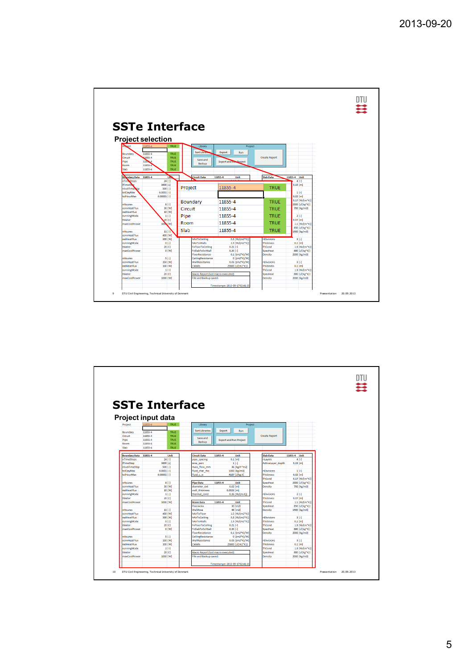|                                 |                          |                                    |                                 |                      |                                   | DTU |
|---------------------------------|--------------------------|------------------------------------|---------------------------------|----------------------|-----------------------------------|-----|
|                                 |                          |                                    |                                 |                      |                                   |     |
|                                 |                          |                                    |                                 |                      |                                   |     |
|                                 |                          |                                    |                                 |                      |                                   |     |
|                                 |                          | <b>SSTe Interface</b>              |                                 |                      |                                   |     |
|                                 |                          |                                    |                                 |                      |                                   |     |
|                                 |                          |                                    |                                 |                      |                                   |     |
| <b>Project selection</b>        |                          |                                    |                                 |                      |                                   |     |
| 11855-4<br>ect                  | TRUE                     | Library                            | Project                         |                      |                                   |     |
| 11855-4<br>Boundary             | TRUE                     | Sort Libra                         | Export<br>Run                   |                      |                                   |     |
| 1855-4<br>Circuit               | TRUE                     |                                    |                                 | <b>Create Report</b> |                                   |     |
| 118564<br>Pipe                  | <b>TRUE</b>              | Save and                           | <b>Export and Rum Project</b>   |                      |                                   |     |
| 11855-4<br>Room                 | <b>TRUE</b>              | Backup                             |                                 |                      |                                   |     |
| Slab<br>11855-4                 | TRUE                     |                                    |                                 |                      |                                   |     |
| <b>Boundary Data</b><br>11855-4 | Um.                      | <b>Circuit Data</b>                | 11855-4<br>Unit                 | <b>Slab Data</b>     | 11855-4 Unit                      |     |
| nTime <sub>Steps</sub>          | $24$ [-]                 |                                    |                                 |                      | $4[ - ]$                          |     |
| <b>TimeStop</b>                 | 3600 [s]                 |                                    |                                 |                      | $0.19$ [m]                        |     |
| nSubTime sep                    | $500$ $[-]$              | Project                            | 11855-4                         | <b>TRUE</b>          |                                   |     |
| tolDavMax                       | $0.0001$ <sup>[-]</sup>  |                                    |                                 |                      | 1 <sup>[4]</sup>                  |     |
| tolHourMax                      | $0.00001$ <sup>[-]</sup> |                                    |                                 |                      | $0.02$ [m]                        |     |
| <b>nHoures</b>                  | $8$ [-]                  | <b>Boundary</b>                    | 11855-4                         | <b>TRUE</b>          | 0.17 [W/(m*K)]<br>2300 [J/(kg*K)] |     |
| convHeatFlux                    | 30 [W]                   | Circuit                            | 11855-4                         | <b>TRUE</b>          | 700 [kg/m3]                       |     |
| radHeatFlux                     | 10 [W]                   |                                    |                                 |                      |                                   |     |
| runningMode                     | $1$ [-]                  | Pipe                               | 11855-4                         | <b>TRUE</b>          | $2[-]$                            |     |
| tWater                          | 20 [C]                   |                                    | 11855-4                         | <b>TRUE</b>          | 0.07 [m]                          |     |
| maxCoolPower                    | 100% [W]                 | Room                               |                                 |                      | 1.1 [W/(m*K)]                     |     |
| <b>nHoures</b>                  | $11f-1$                  | Slab                               | 11855-4                         | <b>TRUE</b>          | 850 [J/(kg*K)]<br>1900 [kg/m3]    |     |
| convHeatFlux                    | 400 [W]                  |                                    |                                 |                      |                                   |     |
| radHeatFlux                     | 300 [W]                  | hAirToCeiling                      | 5.5 [W/(m2*K)]                  | <b>nDivisions</b>    | $3$ $1-1$                         |     |
| runningMode                     | $0$ [-]                  | hAirToWalls                        | 2.5 [W/(m2*K)]                  | <b>Thickness</b>     | $0.1$ [m]                         |     |
| tWater                          | 20 [C]                   | <b>FyFloorToCeiling</b>            | $0.21$ [-]                      | ThCond               | 1.9 [W/(m*K)]                     |     |
| maxCoolPower                    | 0 [W]                    | FySlabToExtWall<br>FloorResistance | $0.35$ [-]                      | SpecHeat             | 880 [J/(kg*K)]                    |     |
| <b>nHoures</b>                  | $5$ [-]                  | CeilingResistance                  | 0.1 [(m2*K)/W]<br>0 [(m2*K)/W]  | Density              | 2000 [kg/m3]                      |     |
| convHeatFlux                    | 150 [W]                  | WallResistance                     | 0.05 [(m2*K)/W]                 | nDivisions           | $3$ $[-1]$                        |     |
| radHeatFlux                     | 100 [W]                  | <b>CWalls</b>                      | 25600 [J/(m2*K)]                | <b>Thickness</b>     | $0.1$ [m]                         |     |
| runningMode                     | $1$ [-]                  |                                    |                                 | <b>ThCond</b>        | $1.9$ [W/(m*K)]                   |     |
| tWater                          | 20 [C]                   | Macro Report (last macro executed) |                                 | SpecHeat             | 880 [J/(kg*K)]                    |     |
| maxCoolPower                    | 1000 [W]                 | File and Backup saved.             |                                 | Density              | 2000 [kg/m3]                      |     |
|                                 |                          |                                    |                                 |                      |                                   |     |
|                                 |                          |                                    | Timestampe: 2013-09-17 02:41:35 |                      |                                   |     |

|                             | <b>SSTe Interface</b>     |                            |                                    |                                 |                                  |                      |              |                 |
|-----------------------------|---------------------------|----------------------------|------------------------------------|---------------------------------|----------------------------------|----------------------|--------------|-----------------|
|                             |                           |                            |                                    |                                 |                                  |                      |              |                 |
|                             |                           |                            |                                    |                                 |                                  |                      |              |                 |
|                             | <b>Project input data</b> |                            |                                    |                                 |                                  |                      |              |                 |
| Project                     | 11855-4                   | TRUE                       | Library                            |                                 | Project                          |                      |              |                 |
|                             |                           |                            | <b>Sort Libraries</b>              | Export                          | Run                              |                      |              |                 |
| Boundary<br>Circuit         | 11855-4<br>11855-4        | <b>TRUE</b><br><b>TRUE</b> |                                    |                                 |                                  | <b>Create Report</b> |              |                 |
| Pipe                        | 11855-4                   | TRUE                       | Save and                           | <b>Export and Run Project</b>   |                                  |                      |              |                 |
| Room                        | 11855-4                   | TRUF                       | Backup                             |                                 |                                  |                      |              |                 |
| Slab                        | 11855-4                   | TRUE                       |                                    |                                 |                                  |                      |              |                 |
|                             |                           |                            |                                    |                                 |                                  |                      |              |                 |
| <b>Boundary Data</b>        | 11855-4                   | Unit                       | <b>Circuit Data</b>                | 11855-4                         | Unit                             | <b>Slab Data</b>     | 11855-4 Unit |                 |
| nTimeSteps                  | $24$ [-]                  |                            | pipe_spacing                       |                                 | $0.1$ [m]                        | nLayers              |              | 4 <sup>1</sup>  |
| <b>ITimeStep</b>            | 3600 [s]                  |                            | area_perc                          |                                 | $11 -$<br>36 [kg/h*m2]           | ActiveLayer_depth    | $0.19$ [m]   |                 |
| nSubTimeStep<br>tolDayMax   | 500 [-]<br>$0.0001$ [-]   |                            | mass_flow_mm<br>fluid char rho     |                                 | 1000 [kg/m3]                     | nDivisions           |              | $1[ - ]$        |
| tolHourMax                  | $0.00001$ [-]             |                            | fluid c w                          |                                 | 4187 [J/kg.K]                    | Thickness            | $0.02$ [m]   |                 |
|                             |                           |                            |                                    |                                 |                                  | ThCond               |              | 0.17 [W/(m*K)]  |
| <b>nHoures</b>              |                           | $8[-]$                     | <b>Pipe Data</b>                   | 11855-4                         | Unit                             | SpecHeat             |              | 2300 [J/(kg*K)] |
| convHeatFlux                |                           | 30 [W]                     | diameter ext                       |                                 | $0.02$ [m]                       | Density              |              | 700 [kg/m3]     |
| radHeatFlux                 |                           | 10 [W]                     | wall thickness                     | $0.0023$ [m]                    |                                  |                      |              |                 |
| runningMode                 |                           | 1[4]                       | thermal cond                       |                                 | $0.35$ [W/(m.K)]                 | nDivisions           |              | $2[ - ]$        |
| tWater                      |                           | 20 [C]                     |                                    |                                 |                                  | Thickness            | $0.07$ [m]   |                 |
| maxCoolPower                | 1000 [W]                  |                            | <b>Room Data</b>                   | 11855-4                         | Unit                             | ThCond               |              | $1.1$ [W/(m*K)] |
|                             |                           |                            | FloorArea                          |                                 | 30 [m2]                          | SpecHeat             |              | 850 [J/(kg*K)]  |
| <b>nHoures</b>              | $11[-]$                   |                            | WallArea                           |                                 | 48 [m2]                          | Density              |              | 1900 [kg/m3]    |
| convHeatFlux<br>radHeatFlux |                           | 400 [W]<br>300 [W]         | hAirToFloor<br>hAirToCeiling       |                                 | 1.5 [W/(m2*K)]<br>5.5 [W/(m2*K)] | nDivisions           |              | $31-1$          |
| runningMode                 |                           | $0$ [-]                    | hAirToWalls                        |                                 | 2.5 [W/(m2*K)]                   | Thickness            |              | $0.1$ [m]       |
| <b>tWater</b>               |                           | $20$ [C]                   | FvFloorToCeiling                   |                                 | $0.21$ [-]                       | ThCond               |              | $1.9$ [W/(m*K)] |
| maxCoolPower                |                           | o [w]                      | FvSlabToExtWall                    |                                 | $0.35$ [-1]                      | SpecHeat             |              | 880 [J/(kg*K)]  |
|                             |                           |                            | FloorResistance                    |                                 | 0.1 [(m2*K)/W]                   | Density              |              | 2000 [kg/m3]    |
| nHoures                     |                           | $5$ $1-1$                  | CeilingResistance                  |                                 | 0 [(m2*K)/W]                     |                      |              |                 |
| convHeatFlux                |                           | 150 [W]                    | WallResistance                     |                                 | 0.05 [(m2*K)/W]                  | nDivisions           |              | $31-1$          |
| radHeatFlux                 |                           | 100 [W]                    | <b>CWalls</b>                      |                                 | 25600 [J/(m2*K)]                 | <b>Thickness</b>     |              | $0.1$ [m]       |
| runningMode                 |                           | 1 <sub>1</sub>             |                                    |                                 |                                  | ThCond               |              | 1.9 [W/(m*K)]   |
| tWater                      |                           | 20 [C]                     | Macro Report (last macro executed) |                                 |                                  | SpecHeat             |              | 880 [J/(kg*K)]  |
| maxCoolPower                | 1000 [W]                  |                            | File and Backup saved.             |                                 |                                  | Density              |              | 2000 [kg/m3]    |
|                             |                           |                            |                                    | Timestampe: 2013-09-17 02:41:35 |                                  |                      |              |                 |
|                             |                           |                            |                                    |                                 |                                  |                      |              |                 |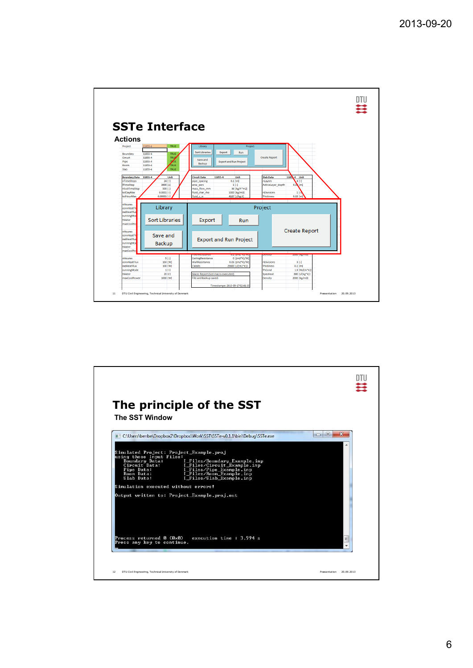

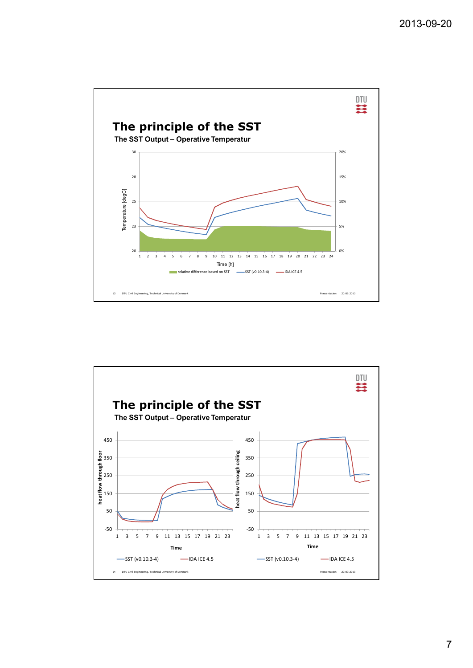

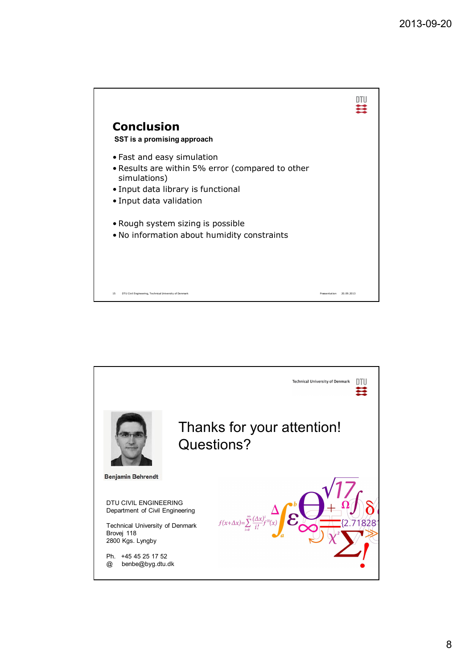